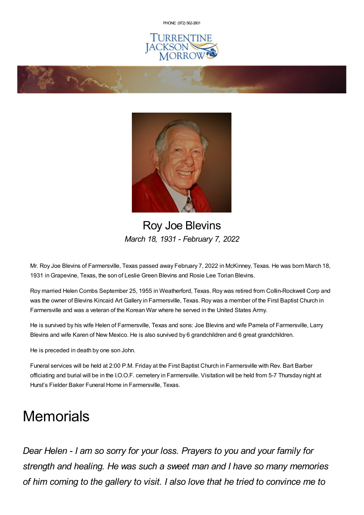PHONE: (972) [562-2601](tel:(972) 562-2601)







## Roy Joe Blevins *March 18, 1931 - February 7, 2022*

Mr. Roy Joe Blevins of Farmersville, Texas passed away February 7, 2022 in McKinney, Texas. He was born March 18, 1931 inGrapevine, Texas, the son of Leslie Green Blevins and Rosie Lee Torian Blevins.

Roy married Helen Combs September 25, 1955 in Weatherford, Texas. Roy was retired from Collin-Rockwell Corp and was the owner of Blevins Kincaid Art Gallery in Farmersville, Texas. Roy was a member of the First Baptist Church in Farmersville and was a veteran of the Korean War where he served in the United States Army.

He is survived by his wife Helen of Farmersville, Texas and sons: Joe Blevins and wife Pamela of Farmersville, Larry Blevins and wife Karen of New Mexico. He is also survived by 6 grandchildren and 6 great grandchildren.

He is preceded in death by one son John.

Funeral services will be held at 2:00 P.M. Friday at the First Baptist Church in Farmersville with Rev. Bart Barber officiating and burial will be in the I.O.O.F. cemetery in Farmersville. Visitation will be held from 5-7 Thursday night at Hurst's Fielder Baker Funeral Home in Farmersville, Texas.

# **Memorials**

*Dear Helen - I am so sorry for your loss. Prayers to you and your family for strength and healing. He was such a sweet man and I have so many memories of him coming to the gallery to visit. I also love that he tried to convince me to*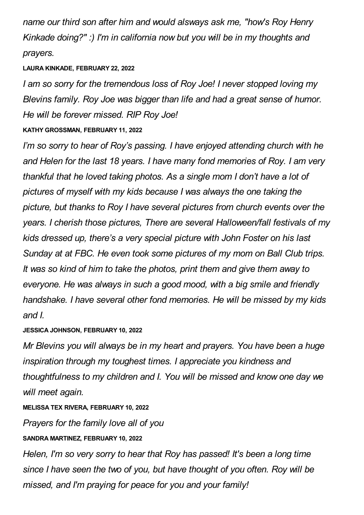*name our third son after him and would alsways ask me, "how's Roy Henry Kinkade doing?" :) I'm in california now but you will be in my thoughts and prayers.*

#### **LAURA KINKADE, FEBRUARY 22, 2022**

*I am so sorry for the tremendous loss of Roy Joe! I never stopped loving my Blevins family. Roy Joe was bigger than life and had a great sense of humor. He will be forever missed. RIP Roy Joe!*

## **KATHY GROSSMAN, FEBRUARY 11, 2022**

*I'm so sorry to hear of Roy's passing. I have enjoyed attending church with he and Helen for the last 18 years. I have many fond memories of Roy. I am very thankful that he loved taking photos. As a single mom I don't have a lot of pictures of myself with my kids because I was always the one taking the picture, but thanks to Roy I have several pictures from church events over the years. I cherish those pictures, There are several Halloween/fall festivals of my kids dressed up, there's a very special picture with John Foster on his last Sunday at at FBC. He even took some pictures of my mom on Ball Club trips. It was so kind of him to take the photos, print them and give them away to everyone. He was always in such a good mood, with a big smile and friendly handshake. I have several other fond memories. He will be missed by my kids and I.*

## **JESSICA JOHNSON, FEBRUARY 10, 2022**

*Mr Blevins you will always be in my heart and prayers. You have been a huge inspiration through my toughest times. I appreciate you kindness and thoughtfulness to my children and I. You will be missed and know one day we will meet again.*

## **MELISSA TEX RIVERA, FEBRUARY 10, 2022**

*Prayers for the family love all of you*

## **SANDRA MARTINEZ, FEBRUARY 10, 2022**

*Helen, I'm so very sorry to hear that Roy has passed! It's been a long time since I have seen the two of you, but have thought of you often. Roy will be missed, and I'm praying for peace for you and your family!*